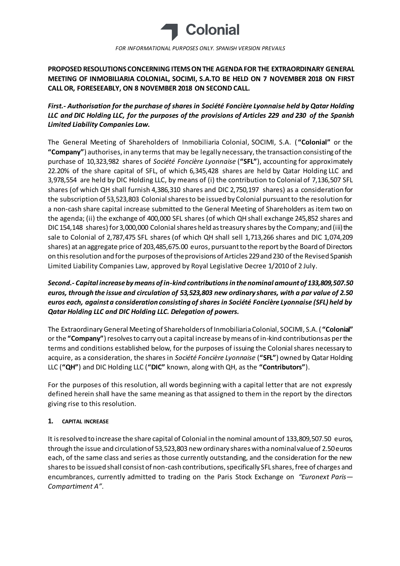

*FOR INFORMATIONAL PURPOSES ONLY. SPANISH VERSION PREVAILS*

**PROPOSED RESOLUTIONS CONCERNING ITEMS ON THE AGENDA FOR THE EXTRAORDINARY GENERAL MEETING OF INMOBILIARIA COLONIAL, SOCIMI, S.A.TO BE HELD ON 7 NOVEMBER 2018 ON FIRST CALL OR, FORESEEABLY, ON 8 NOVEMBER 2018 ON SECOND CALL.**

# *First.- Authorisation for the purchase of shares in Société Foncière Lyonnaise held by Qatar Holding LLC and DIC Holding LLC, for the purposes of the provisions of Articles 229 and 230 of the Spanish Limited Liability Companies Law.*

The General Meeting of Shareholders of Inmobiliaria Colonial, SOCIMI, S.A. ( **"Colonial"** or the **"Company"**) authorises, in any terms that may be legally necessary, the transaction consisting of the purchase of 10,323,982 shares of *Société Foncière Lyonnaise* (**"SFL"**), accounting for approximately 22.20% of the share capital of SFL, of which 6,345,428 shares are held by Qatar Holding LLC and 3,978,554 are held by DIC Holding LLC, by means of (i) the contribution to Colonial of 7,136,507 SFL shares (of which QH shall furnish 4,386,310 shares and DIC 2,750,197 shares) as a consideration for the subscription of 53,523,803 Colonial shares to be issued by Colonial pursuant to the resolution for a non-cash share capital increase submitted to the General Meeting of Shareholders as item two on the agenda; (ii) the exchange of 400,000 SFL shares (of which QH shall exchange 245,852 shares and DIC 154,148 shares) for 3,000,000 Colonial shares held as treasury shares by the Company; and (iii) the sale to Colonial of 2,787,475 SFL shares (of which QH shall sell 1,713,266 shares and DIC 1,074,209 shares) at an aggregate price of 203,485,675.00 euros, pursuant to the report by the Board of Directors on this resolution and for the purposes of the provisions of Articles 229 and 230 of the Revised Spanish Limited Liability Companies Law, approved by Royal Legislative Decree 1/2010 of 2 July.

# *Second.- Capital increase by means of in-kind contributions in the nominal amount of 133,809,507.50 euros, through the issue and circulation of 53,523,803 new ordinary shares, with a par value of 2.50 euros each, against a consideration consisting of shares in Société Foncière Lyonnaise (SFL) held by Qatar Holding LLC and DIC Holding LLC. Delegation of powers.*

The Extraordinary General Meeting of Shareholders of Inmobiliaria Colonial, SOCIMI, S.A. ( **"Colonial"** or the **"Company"**) resolves to carry out a capital increase by means of in-kind contributions as per the terms and conditions established below, for the purposes of issuing the Colonial shares necessary to acquire, as a consideration, the shares in *Société Foncière Lyonnaise* (**"SFL"**) owned by Qatar Holding LLC (**"QH"**) and DIC Holding LLC (**"DIC"** known, along with QH, as the **"Contributors"**).

For the purposes of this resolution, all words beginning with a capital letter that are not expressly defined herein shall have the same meaning as that assigned to them in the report by the directors giving rise to this resolution.

# **1. CAPITAL INCREASE**

It is resolved to increase the share capital of Colonial in the nominal amount of 133,809,507.50 euros, through the issue and circulation of 53,523,803 new ordinary shares with a nominal value of 2.50 euros each, of the same class and series as those currently outstanding, and the consideration for the new shares to be issued shall consist of non-cash contributions, specifically SFL shares, free of charges and encumbrances, currently admitted to trading on the Paris Stock Exchange on *"Euronext Paris— Compartiment A"*.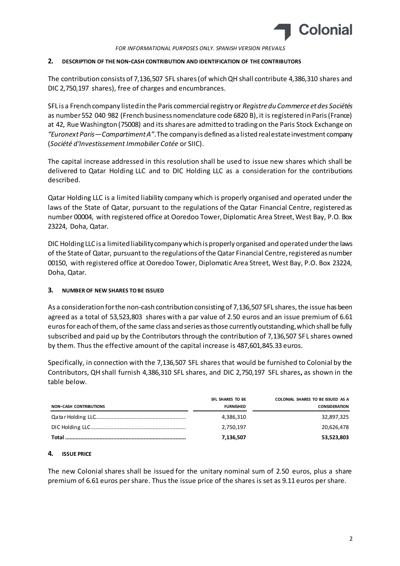

*FOR INFORMATIONAL PURPOSES ONLY. SPANISH VERSION PREVAILS*

#### **2. DESCRIPTION OF THE NON-CASH CONTRIBUTION AND IDENTIFICATION OF THE CONTRIBUTORS**

The contribution consists of 7,136,507 SFL shares (of which QH shall contribute 4,386,310 shares and DIC 2,750,197 shares), free of charges and encumbrances.

SFL is a French company listed in the Paris commercial registry or *Registre du Commerce et des Sociétés* as number 552 040 982 (French business nomenclature code 6820 B), it is registered in Paris (France) at 42, Rue Washington (75008) and its shares are admitted to trading on the Paris Stock Exchange on *"Euronext Paris—Compartiment A"*. The company is defined as a listed real estate investment company (*Société d'Investissement Immobilier Cotée* or SIIC).

The capital increase addressed in this resolution shall be used to issue new shares which shall be delivered to Qatar Holding LLC and to DIC Holding LLC as a consideration for the contributions described.

Qatar Holding LLC is a limited liability company which is properly organised and operated under the laws of the State of Qatar, pursuant to the regulations of the Qatar Financial Centre, registered as number 00004, with registered office at Ooredoo Tower, Diplomatic Area Street, West Bay, P.O. Box 23224, Doha, Qatar.

DIC Holding LLC is a limited liability company which is properly organised and operated under the laws of the State of Qatar, pursuant to the regulations of the Qatar Financial Centre, registered as number 00150, with registered office at Ooredoo Tower, Diplomatic Area Street, West Bay, P.O. Box 23224, Doha, Qatar.

### **3. NUMBER OF NEW SHARES TO BE ISSUED**

As a consideration for the non-cash contribution consisting of 7,136,507 SFL shares, the issue has been agreed as a total of 53,523,803 shares with a par value of 2.50 euros and an issue premium of 6.61 euros for each of them, of the same class and series as those currently outstanding, which shall be fully subscribed and paid up by the Contributors through the contribution of 7,136,507 SFL shares owned by them. Thus the effective amount of the capital increase is 487,601,845.33 euros.

Specifically, in connection with the 7,136,507 SFL shares that would be furnished to Colonial by the Contributors, QH shall furnish 4,386,310 SFL shares, and DIC 2,750,197 SFL shares**,** as shown in the table below.

| <b>NON-CASH CONTRIBUTIONS</b> | SFL SHARES TO BE<br><b>FURNISHED</b> | COLONIAL SHARES TO BE ISSUED AS A<br><b>CONSIDERATION</b> |
|-------------------------------|--------------------------------------|-----------------------------------------------------------|
|                               | 4,386,310                            | 32,897,325                                                |
|                               | 2,750,197                            | 20,626,478                                                |
|                               | 7,136,507                            | 53,523,803                                                |

### **4. ISSUE PRICE**

The new Colonial shares shall be issued for the unitary nominal sum of 2.50 euros, plus a share premium of 6.61 euros per share. Thus the issue price of the shares is set as 9.11 euros per share.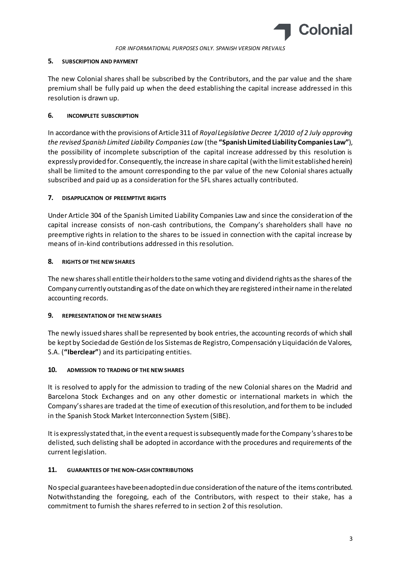

### **5. SUBSCRIPTION AND PAYMENT**

The new Colonial shares shall be subscribed by the Contributors, and the par value and the share premium shall be fully paid up when the deed establishing the capital increase addressed in this resolution is drawn up.

# **6. INCOMPLETE SUBSCRIPTION**

In accordance with the provisions of Article 311 of *Royal Legislative Decree 1/2010 of 2 July approving the revised Spanish Limited Liability Companies Law* (the **"Spanish Limited Liability Companies Law"**), the possibility of incomplete subscription of the capital increase addressed by this resolution is expressly provided for. Consequently, the increase in share capital (with the limit established herein) shall be limited to the amount corresponding to the par value of the new Colonial shares actually subscribed and paid up as a consideration for the SFL shares actually contributed.

# **7. DISAPPLICATION OF PREEMPTIVE RIGHTS**

Under Article 304 of the Spanish Limited Liability Companies Law and since the consideration of the capital increase consists of non-cash contributions, the Company's shareholders shall have no preemptive rights in relation to the shares to be issued in connection with the capital increase by means of in-kind contributions addressed in this resolution.

# **8. RIGHTS OF THE NEW SHARES**

The new shares shall entitle their holders to the same voting and dividend rights as the shares of the Company currently outstanding as of the date on which they are registered in their name in the related accounting records.

# **9. REPRESENTATION OF THE NEW SHARES**

The newly issued shares shall be represented by book entries, the accounting records of which shall be kept by Sociedad de Gestión de los Sistemas de Registro, Compensación y Liquidación de Valores, S.A. (**"Iberclear"**) and its participating entities.

### **10. ADMISSION TO TRADING OF THE NEW SHARES**

It is resolved to apply for the admission to trading of the new Colonial shares on the Madrid and Barcelona Stock Exchanges and on any other domestic or international markets in which the Company's shares are traded at the time of execution of this resolution, and for them to be included in the Spanish Stock Market Interconnection System (SIBE).

It is expressly stated that, in the event a request is subsequently made for the Company's shares to be delisted, such delisting shall be adopted in accordance with the procedures and requirements of the current legislation.

### **11. GUARANTEES OF THE NON-CASH CONTRIBUTIONS**

No special guarantees have been adopted in due consideration of the nature of the items contributed. Notwithstanding the foregoing, each of the Contributors, with respect to their stake, has a commitment to furnish the shares referred to in section 2 of this resolution.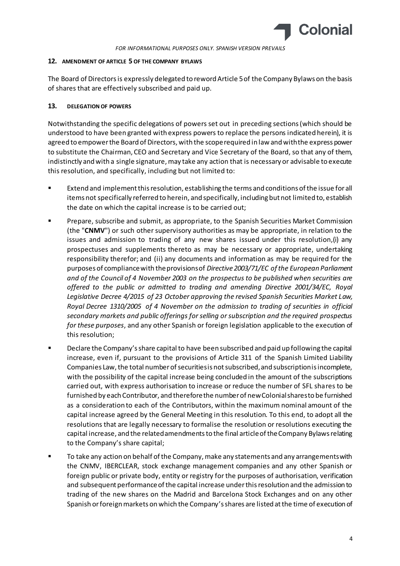

#### **12. AMENDMENT OF ARTICLE 5 OF THE COMPANY BYLAWS**

The Board of Directors is expressly delegated to reword Article 5 of the Company Bylaws on the basis of shares that are effectively subscribed and paid up.

### **13. DELEGATION OF POWERS**

Notwithstanding the specific delegations of powers set out in preceding sections (which should be understood to have been granted with express powers to replace the persons indicated herein), it is agreed to empower the Board of Directors, with the scope required in law and with the express power to substitute the Chairman, CEO and Secretary and Vice Secretary of the Board, so that any of them, indistinctly and with a single signature, may take any action that is necessary or advisable to execute this resolution, and specifically, including but not limited to:

- Extend and implement this resolution, establishing the terms and conditions of the issue for all items not specifically referred to herein, and specifically, including but not limited to, establish the date on which the capital increase is to be carried out;
- Prepare, subscribe and submit, as appropriate, to the Spanish Securities Market Commission (the "**CNMV**") or such other supervisory authorities as may be appropriate, in relation to the issues and admission to trading of any new shares issued under this resolution,(i) any prospectuses and supplements thereto as may be necessary or appropriate, undertaking responsibility therefor; and (ii) any documents and information as may be required for the purposes of compliance with the provisions of *Directive 2003/71/EC of the European Parliament and of the Council of 4 November 2003 on the prospectus to be published when securities are offered to the public or admitted to trading and amending Directive 2001/34/EC, Royal Legislative Decree 4/2015 of 23 October approving the revised Spanish Securities Market Law, Royal Decree 1310/2005 of 4 November on the admission to trading of securities in official secondary markets and public offerings for selling or subscription and the required prospectus for these purposes*, and any other Spanish or foreign legislation applicable to the execution of this resolution;
- Declare the Company's share capital to have been subscribed and paid up following the capital increase, even if, pursuant to the provisions of Article 311 of the Spanish Limited Liability Companies Law, the total number of securities is not subscribed, and subscription is incomplete, with the possibility of the capital increase being concluded in the amount of the subscriptions carried out, with express authorisation to increase or reduce the number of SFL shares to be furnished by each Contributor, and therefore the number of new Colonial shares to be furnished as a consideration to each of the Contributors, within the maximum nominal amount of the capital increase agreed by the General Meeting in this resolution. To this end, to adopt all the resolutions that are legally necessary to formalise the resolution or resolutions executing the capital increase, and the related amendments to the final article of the Company Bylaws relating to the Company's share capital;
- To take any action on behalf of the Company, make any statements and any arrangements with the CNMV, IBERCLEAR, stock exchange management companies and any other Spanish or foreign public or private body, entity or registry for the purposes of authorisation, verification and subsequent performance of the capital increase under this resolution and the admission to trading of the new shares on the Madrid and Barcelona Stock Exchanges and on any other Spanish or foreign markets on which the Company's shares are listed at the time of execution of